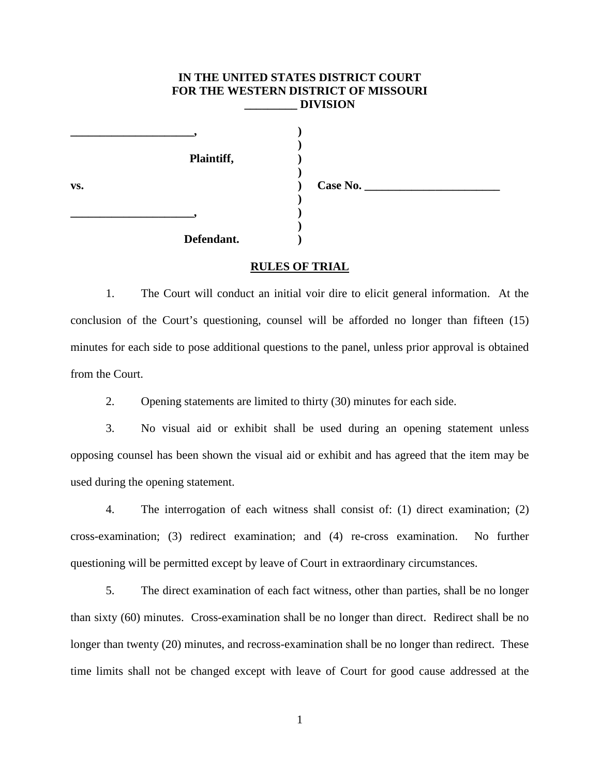## **IN THE UNITED STATES DISTRICT COURT FOR THE WESTERN DISTRICT OF MISSOURI \_\_\_\_\_\_\_\_\_ DIVISION**

**)**

**)**

**)**

**)**

**RULES OF TRIAL**

**Plaintiff, ) vs. ) Case No. \_\_\_\_\_\_\_\_\_\_\_\_\_\_\_\_\_\_\_\_\_\_\_ \_\_\_\_\_\_\_\_\_\_\_\_\_\_\_\_\_\_\_\_\_, )**

**\_\_\_\_\_\_\_\_\_\_\_\_\_\_\_\_\_\_\_\_\_, )**

**Defendant. )**

1. The Court will conduct an initial voir dire to elicit general information. At the conclusion of the Court's questioning, counsel will be afforded no longer than fifteen (15) minutes for each side to pose additional questions to the panel, unless prior approval is obtained from the Court.

2. Opening statements are limited to thirty (30) minutes for each side.

3. No visual aid or exhibit shall be used during an opening statement unless opposing counsel has been shown the visual aid or exhibit and has agreed that the item may be used during the opening statement.

4. The interrogation of each witness shall consist of: (1) direct examination; (2) cross-examination; (3) redirect examination; and (4) re-cross examination. No further questioning will be permitted except by leave of Court in extraordinary circumstances.

5. The direct examination of each fact witness, other than parties, shall be no longer than sixty (60) minutes. Cross-examination shall be no longer than direct. Redirect shall be no longer than twenty (20) minutes, and recross-examination shall be no longer than redirect. These time limits shall not be changed except with leave of Court for good cause addressed at the

1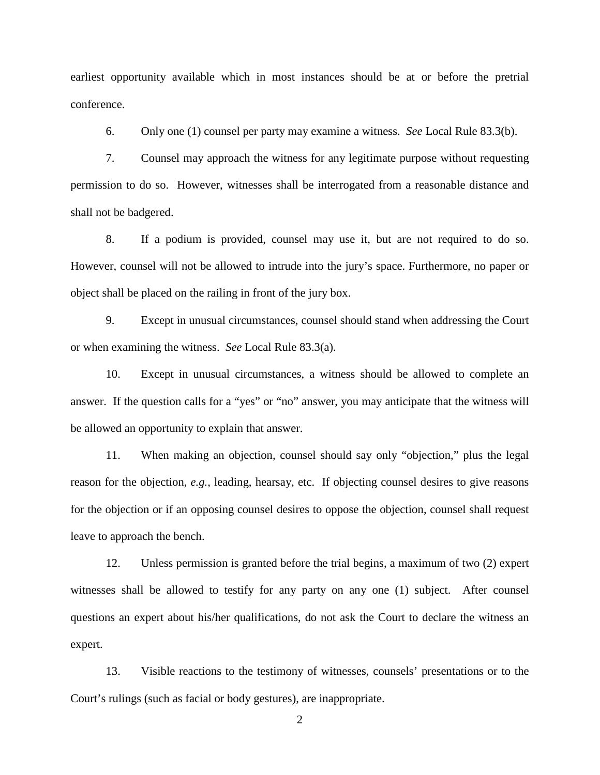earliest opportunity available which in most instances should be at or before the pretrial conference.

6. Only one (1) counsel per party may examine a witness. *See* Local Rule 83.3(b).

7. Counsel may approach the witness for any legitimate purpose without requesting permission to do so. However, witnesses shall be interrogated from a reasonable distance and shall not be badgered.

8. If a podium is provided, counsel may use it, but are not required to do so. However, counsel will not be allowed to intrude into the jury's space. Furthermore, no paper or object shall be placed on the railing in front of the jury box.

9. Except in unusual circumstances, counsel should stand when addressing the Court or when examining the witness. *See* Local Rule 83.3(a).

10. Except in unusual circumstances, a witness should be allowed to complete an answer. If the question calls for a "yes" or "no" answer, you may anticipate that the witness will be allowed an opportunity to explain that answer.

11. When making an objection, counsel should say only "objection," plus the legal reason for the objection, *e.g.*, leading, hearsay, etc. If objecting counsel desires to give reasons for the objection or if an opposing counsel desires to oppose the objection, counsel shall request leave to approach the bench.

12. Unless permission is granted before the trial begins, a maximum of two (2) expert witnesses shall be allowed to testify for any party on any one (1) subject. After counsel questions an expert about his/her qualifications, do not ask the Court to declare the witness an expert.

13. Visible reactions to the testimony of witnesses, counsels' presentations or to the Court's rulings (such as facial or body gestures), are inappropriate.

2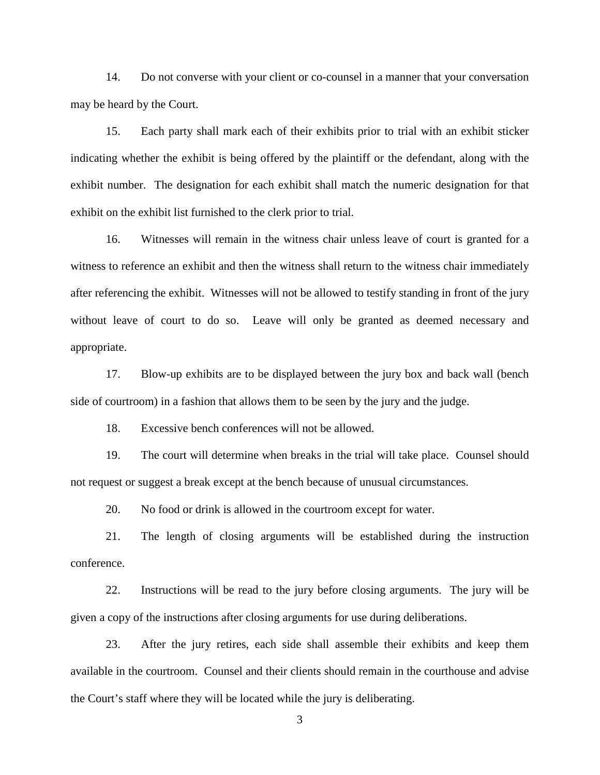14. Do not converse with your client or co-counsel in a manner that your conversation may be heard by the Court.

15. Each party shall mark each of their exhibits prior to trial with an exhibit sticker indicating whether the exhibit is being offered by the plaintiff or the defendant, along with the exhibit number. The designation for each exhibit shall match the numeric designation for that exhibit on the exhibit list furnished to the clerk prior to trial.

16. Witnesses will remain in the witness chair unless leave of court is granted for a witness to reference an exhibit and then the witness shall return to the witness chair immediately after referencing the exhibit. Witnesses will not be allowed to testify standing in front of the jury without leave of court to do so. Leave will only be granted as deemed necessary and appropriate.

17. Blow-up exhibits are to be displayed between the jury box and back wall (bench side of courtroom) in a fashion that allows them to be seen by the jury and the judge.

18. Excessive bench conferences will not be allowed.

19. The court will determine when breaks in the trial will take place. Counsel should not request or suggest a break except at the bench because of unusual circumstances.

20. No food or drink is allowed in the courtroom except for water.

21. The length of closing arguments will be established during the instruction conference.

22. Instructions will be read to the jury before closing arguments. The jury will be given a copy of the instructions after closing arguments for use during deliberations.

23. After the jury retires, each side shall assemble their exhibits and keep them available in the courtroom. Counsel and their clients should remain in the courthouse and advise the Court's staff where they will be located while the jury is deliberating.

3